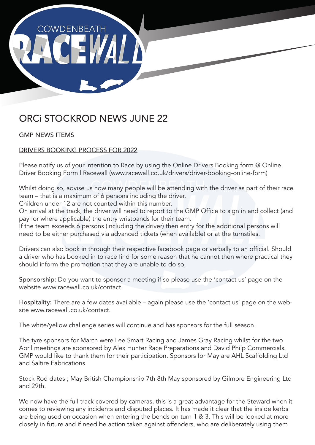

# ORCi STOCKROD NEWS JUNE 22

GMP NEWS ITEMS

## DRIVERS BOOKING PROCESS FOR 2022

Please notify us of your intention to Race by using the Online Drivers Booking form @ Online Driver Booking Form | Racewall (www.racewall.co.uk/drivers/driver-booking-online-form)

Whilst doing so, advise us how many people will be attending with the driver as part of their race team – that is a maximum of 6 persons including the driver.

Children under 12 are not counted within this number.

On arrival at the track, the driver will need to report to the GMP Office to sign in and collect (and pay for where applicable) the entry wristbands for their team.

If the team exceeds 6 persons (including the driver) then entry for the additional persons will need to be either purchased via advanced tickets (when available) or at the turnstiles.

Drivers can also book in through their respective facebook page or verbally to an official. Should a driver who has booked in to race find for some reason that he cannot then where practical they should inform the promotion that they are unable to do so.

Sponsorship: Do you want to sponsor a meeting if so please use the 'contact us' page on the website www.racewall.co.uk/contact.

Hospitality: There are a few dates available – again please use the 'contact us' page on the website www.racewall.co.uk/contact.

The white/yellow challenge series will continue and has sponsors for the full season.

The tyre sponsors for March were Lee Smart Racing and James Gray Racing whilst for the two April meetings are sponsored by Alex Hunter Race Preparations and David Philp Commercials. GMP would like to thank them for their participation. Sponsors for May are AHL Scaffolding Ltd and Saltire Fabrications

Stock Rod dates ; May British Championship 7th 8th May sponsored by Gilmore Engineering Ltd and 29th.

We now have the full track covered by cameras, this is a great advantage for the Steward when it comes to reviewing any incidents and disputed places. It has made it clear that the inside kerbs are being used on occasion when entering the bends on turn 1 & 3. This will be looked at more closely in future and if need be action taken against offenders, who are deliberately using them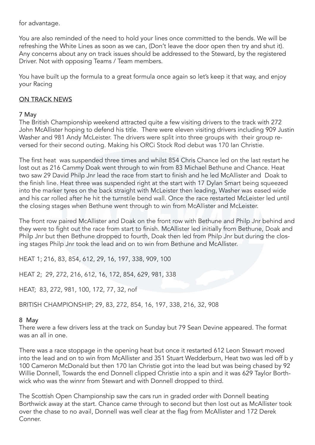for advantage.

You are also reminded of the need to hold your lines once committed to the bends. We will be refreshing the White Lines as soon as we can, (Don't leave the door open then try and shut it). Any concerns about any on track issues should be addressed to the Steward, by the registered Driver. Not with opposing Teams / Team members.

You have built up the formula to a great formula once again so let's keep it that way, and enjoy your Racing

## **ON TRACK NEWS**

## 7 May

The British Championship weekend attracted quite a few visiting drivers to the track with 272 John McAllister hoping to defend his title. There were eleven visiting drivers including 909 Justin Washer and 981 Andy McLeister. The drivers were split into three groups with their group reversed for their second outing. Making his ORCi Stock Rod debut was 170 Ian Christie.

The first heat was suspended three times and whilst 854 Chris Chance led on the last restart he lost out as 216 Cammy Doak went through to win from 83 Michael Bethune and Chance. Heat two saw 29 David Philp Jnr lead the race from start to finish and he led McAllister and Doak to the finish line. Heat three was suspended right at the start with 17 Dylan Smart being squeezed into the marker tyres on the back straight with McLeister then leading, Washer was eased wide and his car rolled after he hit the turnstile bend wall. Once the race restarted McLeister led until the closing stages when Bethune went through to win from McAllister and McLeister.

The front row paired McAllister and Doak on the front row with Bethune and Philp Jnr behind and they were to fight out the race from start to finish. McAllister led initially from Bethune, Doak and Philp Jnr but then Bethune dropped to fourth, Doak then led from Philp Jnr but during the closing stages Philp Jnr took the lead and on to win from Bethune and McAllister.

HEAT 1; 216, 83, 854, 612, 29, 16, 197, 338, 909, 100

HEAT 2; 29, 272, 216, 612, 16, 172, 854, 629, 981, 338

HEAT; 83, 272, 981, 100, 172, 77, 32, nof

BRITISH CHAMPIONSHIP; 29, 83, 272, 854, 16, 197, 338, 216, 32, 908

### 8 May

There were a few drivers less at the track on Sunday but 79 Sean Devine appeared. The format was an all in one.

There was a race stoppage in the opening heat but once it restarted 612 Leon Stewart moved into the lead and on to win from McAllister and 351 Stuart Wedderburn, Heat two was led off b y 100 Cameron McDonald but then 170 Ian Christie got into the lead but was being chased by 92 Willie Donnell, Towards the end Donnell clipped Christie into a spin and it was 629 Taylor Borthwick who was the winnr from Stewart and with Donnell dropped to third.

The Scottish Open Championship saw the cars run in graded order with Donnell beating Borthwick away at the start. Chance came through to second but then lost out as McAllister took over the chase to no avail, Donnell was well clear at the flag from McAllister and 172 Derek Conner.